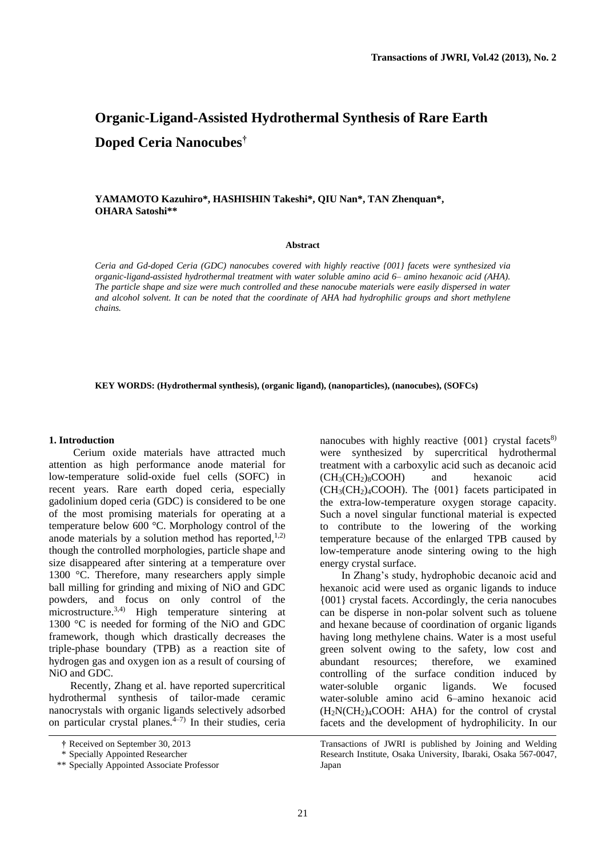# **Organic-Ligand-Assisted Hydrothermal Synthesis of Rare Earth Doped Ceria Nanocubes†**

## **YAMAMOTO Kazuhiro\*, HASHISHIN Takeshi\*, QIU Nan\*, TAN Zhenquan\*, OHARA Satoshi\*\***

#### **Abstract**

*Ceria and Gd-doped Ceria (GDC) nanocubes covered with highly reactive {001} facets were synthesized via organic-ligand-assisted hydrothermal treatment with water soluble amino acid 6– amino hexanoic acid (AHA). The particle shape and size were much controlled and these nanocube materials were easily dispersed in water and alcohol solvent. It can be noted that the coordinate of AHA had hydrophilic groups and short methylene chains.* 

**KEY WORDS: (Hydrothermal synthesis), (organic ligand), (nanoparticles), (nanocubes), (SOFCs)** 

#### **1. Introduction**

 Cerium oxide materials have attracted much attention as high performance anode material for low-temperature solid-oxide fuel cells (SOFC) in recent years. Rare earth doped ceria, especially gadolinium doped ceria (GDC) is considered to be one of the most promising materials for operating at a temperature below 600 °C. Morphology control of the anode materials by a solution method has reported, $1,2$ ) though the controlled morphologies, particle shape and size disappeared after sintering at a temperature over 1300 °C. Therefore, many researchers apply simple ball milling for grinding and mixing of NiO and GDC powders, and focus on only control of the microstructure.<sup>3,4)</sup> High temperature sintering at 1300 °C is needed for forming of the NiO and GDC framework, though which drastically decreases the triple-phase boundary (TPB) as a reaction site of hydrogen gas and oxygen ion as a result of coursing of NiO and GDC.

 Recently, Zhang et al. have reported supercritical hydrothermal synthesis of tailor-made ceramic nanocrystals with organic ligands selectively adsorbed on particular crystal planes.<sup>4–7)</sup> In their studies, ceria nanocubes with highly reactive  $\{001\}$  crystal facets<sup>8)</sup> were synthesized by supercritical hydrothermal treatment with a carboxylic acid such as decanoic acid  $(CH<sub>3</sub>(CH<sub>2</sub>)<sub>8</sub>COOH)$  and hexanoic acid  $(CH<sub>3</sub>(CH<sub>2</sub>)<sub>4</sub>COOH)$ . The  ${001}$  facets participated in the extra-low-temperature oxygen storage capacity. Such a novel singular functional material is expected to contribute to the lowering of the working temperature because of the enlarged TPB caused by low-temperature anode sintering owing to the high energy crystal surface.

In Zhang's study, hydrophobic decanoic acid and hexanoic acid were used as organic ligands to induce {001} crystal facets. Accordingly, the ceria nanocubes can be disperse in non-polar solvent such as toluene and hexane because of coordination of organic ligands having long methylene chains. Water is a most useful green solvent owing to the safety, low cost and abundant resources; therefore, we examined controlling of the surface condition induced by water-soluble organic ligands. We focused water-soluble amino acid 6–amino hexanoic acid  $(H<sub>2</sub>N(CH<sub>2</sub>)<sub>4</sub>COOH: AHA$  for the control of crystal facets and the development of hydrophilicity. In our

Transactions of JWRI is published by Joining and Welding Research Institute, Osaka University, Ibaraki, Osaka 567-0047, Japan

**<sup>†</sup>** Received on September 30, 2013

 <sup>\*</sup> Specially Appointed Researcher

 <sup>\*\*</sup> Specially Appointed Associate Professor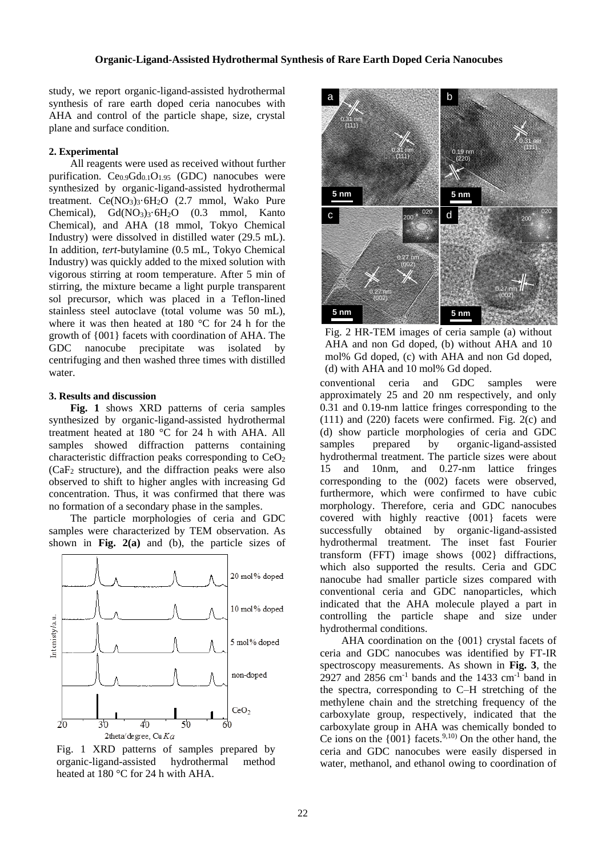## **Organic-Ligand-Assisted Hydrothermal Synthesis of Rare Earth Doped Ceria Nanocubes**

study, we report organic-ligand-assisted hydrothermal synthesis of rare earth doped ceria nanocubes with AHA and control of the particle shape, size, crystal plane and surface condition.

## **2. Experimental**

All reagents were used as received without further purification.  $Ce<sub>0.9</sub>Gd<sub>0.1</sub>O<sub>1.95</sub>$  (GDC) nanocubes were synthesized by organic-ligand-assisted hydrothermal treatment.  $Ce(NO<sub>3</sub>)<sub>3</sub>·6H<sub>2</sub>O$  (2.7 mmol, Wako Pure Chemical),  $Gd(NO<sub>3</sub>)<sub>3</sub>·6H<sub>2</sub>O$  (0.3 mmol, Kanto Chemical), and AHA (18 mmol, Tokyo Chemical Industry) were dissolved in distilled water (29.5 mL). In addition, *tert*-butylamine (0.5 mL, Tokyo Chemical Industry) was quickly added to the mixed solution with vigorous stirring at room temperature. After 5 min of stirring, the mixture became a light purple transparent sol precursor, which was placed in a Teflon-lined stainless steel autoclave (total volume was 50 mL), where it was then heated at 180 °C for 24 h for the growth of {001} facets with coordination of AHA. The GDC nanocube precipitate was isolated by centrifuging and then washed three times with distilled water.

#### **3. Results and discussion**

**Fig. 1** shows XRD patterns of ceria samples synthesized by organic-ligand-assisted hydrothermal treatment heated at 180 °C for 24 h with AHA. All samples showed diffraction patterns containing characteristic diffraction peaks corresponding to  $CeO<sub>2</sub>$  $(CaF<sub>2</sub> structure)$ , and the diffraction peaks were also observed to shift to higher angles with increasing Gd concentration. Thus, it was confirmed that there was no formation of a secondary phase in the samples.

The particle morphologies of ceria and GDC samples were characterized by TEM observation. As shown in **Fig. 2(a)** and (b), the particle sizes of



Fig. 1 XRD patterns of samples prepared by organic-ligand-assisted hydrothermal method heated at 180 °C for 24 h with AHA.



Fig. 2 HR-TEM images of ceria sample (a) without AHA and non Gd doped, (b) without AHA and 10 mol% Gd doped, (c) with AHA and non Gd doped, (d) with AHA and 10 mol% Gd doped.

conventional ceria and GDC samples were approximately 25 and 20 nm respectively, and only 0.31 and 0.19-nm lattice fringes corresponding to the (111) and (220) facets were confirmed. Fig. 2(c) and (d) show particle morphologies of ceria and GDC samples prepared by organic-ligand-assisted hydrothermal treatment. The particle sizes were about 15 and 10nm, and 0.27-nm lattice fringes corresponding to the (002) facets were observed, furthermore, which were confirmed to have cubic morphology. Therefore, ceria and GDC nanocubes covered with highly reactive {001} facets were successfully obtained by organic-ligand-assisted hydrothermal treatment. The inset fast Fourier transform (FFT) image shows {002} diffractions, which also supported the results. Ceria and GDC nanocube had smaller particle sizes compared with conventional ceria and GDC nanoparticles, which indicated that the AHA molecule played a part in controlling the particle shape and size under hydrothermal conditions.

AHA coordination on the {001} crystal facets of ceria and GDC nanocubes was identified by FT-IR spectroscopy measurements. As shown in **Fig. 3**, the 2927 and 2856 cm<sup>-1</sup> bands and the 1433 cm<sup>-1</sup> band in the spectra, corresponding to C–H stretching of the methylene chain and the stretching frequency of the carboxylate group, respectively, indicated that the carboxylate group in AHA was chemically bonded to Ce ions on the  $\{001\}$  facets.<sup>9,10)</sup> On the other hand, the ceria and GDC nanocubes were easily dispersed in water, methanol, and ethanol owing to coordination of